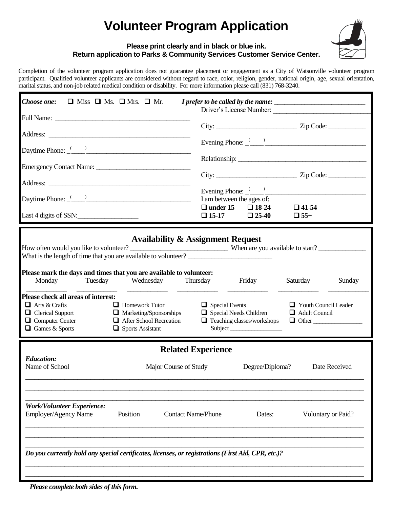# **Volunteer Program Application**



#### **Please print clearly and in black or blue ink. Return application to Parks & Community Services Customer Service Center.**

Completion of the volunteer program application does not guarantee placement or engagement as a City of Watsonville volunteer program participant. Qualified volunteer applicants are considered without regard to race, color, religion, gender, national origin, age, sexual orientation, marital status, and non-job related medical condition or disability. For more information please call (831) 768-3240.

| Choose one:<br>$\Box$ Miss $\Box$ Ms. $\Box$ Mrs. $\Box$ Mr.                                                                                                                                                                                                                                                                                                                       |                                                                                                                                                                                                                                                  |  |
|------------------------------------------------------------------------------------------------------------------------------------------------------------------------------------------------------------------------------------------------------------------------------------------------------------------------------------------------------------------------------------|--------------------------------------------------------------------------------------------------------------------------------------------------------------------------------------------------------------------------------------------------|--|
|                                                                                                                                                                                                                                                                                                                                                                                    | Driver's License Number:                                                                                                                                                                                                                         |  |
|                                                                                                                                                                                                                                                                                                                                                                                    | $City:$ $Zip Code:$                                                                                                                                                                                                                              |  |
|                                                                                                                                                                                                                                                                                                                                                                                    |                                                                                                                                                                                                                                                  |  |
|                                                                                                                                                                                                                                                                                                                                                                                    |                                                                                                                                                                                                                                                  |  |
|                                                                                                                                                                                                                                                                                                                                                                                    |                                                                                                                                                                                                                                                  |  |
| Daytime Phone: $\frac{(1)^{n}}{2}$ and $\frac{1}{2}$ and $\frac{1}{2}$ and $\frac{1}{2}$ and $\frac{1}{2}$ and $\frac{1}{2}$ and $\frac{1}{2}$ and $\frac{1}{2}$ and $\frac{1}{2}$ and $\frac{1}{2}$ and $\frac{1}{2}$ and $\frac{1}{2}$ and $\frac{1}{2}$ and $\frac{1}{2}$ and $\frac{1}{$                                                                                       | Evening Phone: $\frac{(-)}{(-)}$<br>I am between the ages of:                                                                                                                                                                                    |  |
| Last 4 digits of SSN:                                                                                                                                                                                                                                                                                                                                                              | $\Box$ under 15 $\Box$ 18-24<br>$\Box$ 41-54<br>$\Box$ 25-40<br>$\Box$ 15-17<br>$\Box$ 55+                                                                                                                                                       |  |
| Please mark the days and times that you are available to volunteer:<br>Tuesday<br>Wednesday<br>Monday<br>Please check all areas of interest:<br>$\Box$ Arts & Crafts<br>$\Box$ Homework Tutor<br>$\Box$ Marketing/Sponsorships<br>$\Box$ Clerical Support<br>$\Box$ Computer Center<br><b>Exercise</b> After School Recreation<br>$\Box$ Games & Sports<br>$\Box$ Sports Assistant | <b>Availability &amp; Assignment Request</b><br>Thursday<br>Friday<br>Saturday<br>Sunday<br>Youth Council Leader<br>$\Box$ Special Events<br>Special Needs Children<br>$\Box$ Adult Council<br>$\Box$ Teaching classes/workshops<br>$\Box$ Other |  |
| <b>Related Experience</b><br><b>Education:</b><br>Name of School<br>Major Course of Study<br>Degree/Diploma?<br>Date Received                                                                                                                                                                                                                                                      |                                                                                                                                                                                                                                                  |  |
| <b>Work/Volunteer Experience:</b><br>Employer/Agency Name<br>Position<br><b>Contact Name/Phone</b><br>Voluntary or Paid?<br>Dates:                                                                                                                                                                                                                                                 |                                                                                                                                                                                                                                                  |  |
| Do you currently hold any special certificates, licenses, or registrations (First Aid, CPR, etc.)?                                                                                                                                                                                                                                                                                 |                                                                                                                                                                                                                                                  |  |
| Please complete both sides of this form.                                                                                                                                                                                                                                                                                                                                           |                                                                                                                                                                                                                                                  |  |